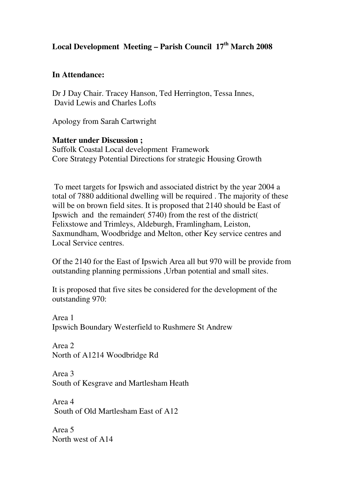## **Local Development Meeting – Parish Council 17th March 2008**

## **In Attendance:**

Dr J Day Chair. Tracey Hanson, Ted Herrington, Tessa Innes, David Lewis and Charles Lofts

Apology from Sarah Cartwright

## **Matter under Discussion ;**

Suffolk Coastal Local development Framework Core Strategy Potential Directions for strategic Housing Growth

 To meet targets for Ipswich and associated district by the year 2004 a total of 7880 additional dwelling will be required . The majority of these will be on brown field sites. It is proposed that 2140 should be East of Ipswich and the remainder( 5740) from the rest of the district( Felixstowe and Trimleys, Aldeburgh, Framlingham, Leiston, Saxmundham, Woodbridge and Melton, other Key service centres and Local Service centres.

Of the 2140 for the East of Ipswich Area all but 970 will be provide from outstanding planning permissions ,Urban potential and small sites.

It is proposed that five sites be considered for the development of the outstanding 970:

Area 1 Ipswich Boundary Westerfield to Rushmere St Andrew

Area 2 North of A1214 Woodbridge Rd

Area 3 South of Kesgrave and Martlesham Heath

Area 4 South of Old Martlesham East of A12

Area 5 North west of A14